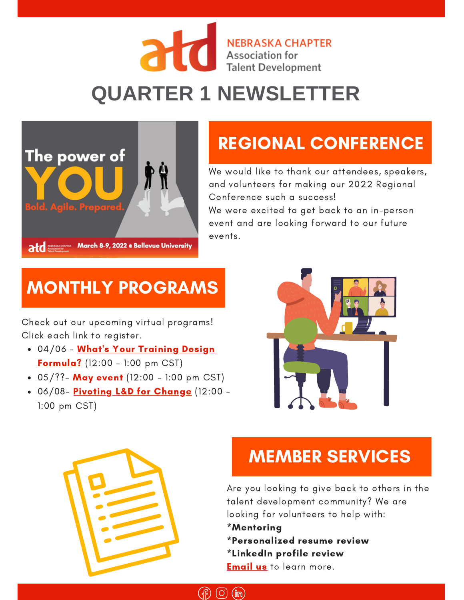#### NEBRASKA CH **NEBRASKA CHAPTER Talent Development**

# **QUARTER 1 NEWSLETTER**



## [RE](http://atdnebraska.org/)GIONAL CONFERENCE

We would like to thank our attendees, speakers, and volunteers for making our 2022 Regional Conference such a success! We were excited to get back to an in-person event and are looking forward to our future events.

#### MONTHLY PROGRAMS

Check out our upcoming virtual programs! Click each link to register.

- 04/06 What's Your Training Design **[Formula?](https://www.atdnebraska.org/event-4673914)** (12:00 - 1:00 pm CST)
- $\bullet$  05/??- May event (12:00 1:00 pm CST)
- . 06/08- [Pivoting](https://www.atdnebraska.org/event-4739094) L&D for Change (12:00 -1:00 pm CST)





### MEMBER SERVICES

Are you looking to give back to others in the talent development community? We are looking for volunteers to help with:

- \*Mentoring
- \*Personalized resume review
- \*LinkedIn profile review

**[Email](mailto:directorcareerresources@atdnebraska.org) us** to learn more.